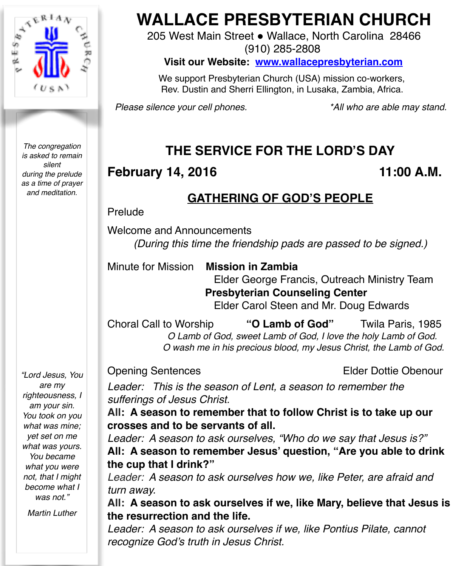

*The congregation is asked to remain silent during the prelude as a time of prayer and meditation.*

*"Lord Jesus, You are my righteousness, I am your sin. You took on you what was mine; yet set on me what was yours. You became what you were not, that I might become what I was not."*

*Martin Luther*

# **WALLACE PRESBYTERIAN CHURCH**

205 West Main Street . Wallace, North Carolina 28466

(910) 285-2808

**Visit our Website: [www.wallacepresbyterian.com](http://www.wallacepresbyterian.com)**

 We support Presbyterian Church (USA) mission co-workers, Rev. Dustin and Sherri Ellington, in Lusaka, Zambia, Africa.

*Please silence your cell phones. \*All who are able may stand.*

# **THE SERVICE FOR THE LORD'S DAY**

# **February 14, 2016** 11:00 A.M.

# **GATHERING OF GOD'S PEOPLE**

#### Prelude

Welcome and Announcements *(During this time the friendship pads are passed to be signed.)*

Minute for Mission **Mission in Zambia** 

Elder George Francis, Outreach Ministry Team **Presbyterian Counseling Center** Elder Carol Steen and Mr. Doug Edwards

Choral Call to Worship **"O Lamb of God"** Twila Paris, 1985  *O Lamb of God, sweet Lamb of God, I love the holy Lamb of God. O wash me in his precious blood, my Jesus Christ, the Lamb of God.*

Opening SentencesElder Dottie Obenour

*Leader: This is the season of Lent, a season to remember the sufferings of Jesus Christ.*

**All: A season to remember that to follow Christ is to take up our crosses and to be servants of all.**

*Leader: A season to ask ourselves, "Who do we say that Jesus is?"*  **All: A season to remember Jesus' question, "Are you able to drink the cup that I drink?"**

*Leader: A season to ask ourselves how we, like Peter, are afraid and turn away.*

**All: A season to ask ourselves if we, like Mary, believe that Jesus is the resurrection and the life.**

*Leader: A season to ask ourselves if we, like Pontius Pilate, cannot recognize God's truth in Jesus Christ.*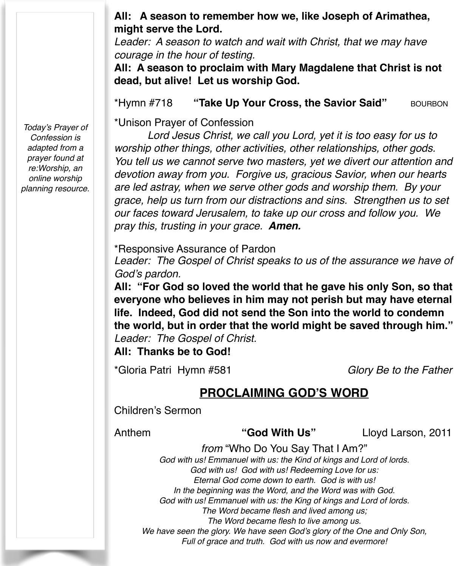#### **All: A season to remember how we, like Joseph of Arimathea, might serve the Lord.**

*Leader: A season to watch and wait with Christ, that we may have courage in the hour of testing.*

**All: A season to proclaim with Mary Magdalene that Christ is not dead, but alive! Let us worship God.**

\*Hymn #718 **"Take Up Your Cross, the Savior Said"** BOURBON

\*Unison Prayer of Confession

*Lord Jesus Christ, we call you Lord, yet it is too easy for us to worship other things, other activities, other relationships, other gods. You tell us we cannot serve two masters, yet we divert our attention and devotion away from you. Forgive us, gracious Savior, when our hearts are led astray, when we serve other gods and worship them. By your grace, help us turn from our distractions and sins. Strengthen us to set our faces toward Jerusalem, to take up our cross and follow you. We pray this, trusting in your grace. Amen.*

\*Responsive Assurance of Pardon

Leader: The Gospel of Christ speaks to us of the assurance we have of *God's pardon.*

**All: "For God so loved the world that he gave his only Son, so that everyone who believes in him may not perish but may have eternal life. Indeed, God did not send the Son into the world to condemn the world, but in order that the world might be saved through him."** *Leader: The Gospel of Christ.*

**All: Thanks be to God!**

\*Gloria Patri Hymn #581 *Glory Be to the Father*

### **PROCLAIMING GOD'S WORD**

Children's Sermon

Anthem **"God With Us"** Lloyd Larson, 2011

*from* "Who Do You Say That I Am?" *God with us! Emmanuel with us: the Kind of kings and Lord of lords. God with us! God with us! Redeeming Love for us: Eternal God come down to earth. God is with us! In the beginning was the Word, and the Word was with God. God with us! Emmanuel with us: the King of kings and Lord of lords. The Word became flesh and lived among us; The Word became flesh to live among us. We have seen the glory. We have seen God's glory of the One and Only Son, Full of grace and truth. God with us now and evermore!*

*Today's Prayer of Confession is adapted from a prayer found at re:Worship, an online worship planning resource.*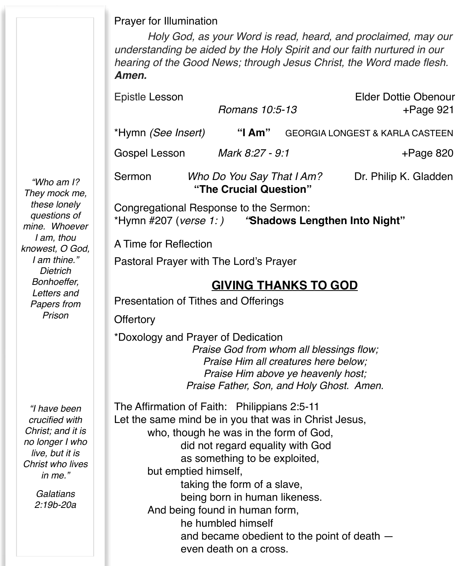Prayer for Illumination

*Holy God, as your Word is read, heard, and proclaimed, may our understanding be aided by the Holy Spirit and our faith nurtured in our hearing of the Good News; through Jesus Christ, the Word made flesh. Amen.*

Epistle Lesson Elder Dottie Obenour  *Romans 10:5-13* +Page 921

\*Hymn *(See Insert)* **"I Am"** GEORGIA LONGEST & KARLA CASTEEN

Gospel Lesson *Mark 8:27 - 9:1* +Page 820

Sermon *Who Do You Say That I Am?* Dr. Philip K. Gladden **"The Crucial Question"** 

Congregational Response to the Sermon: \*Hymn #207 (*verse 1: ) "***Shadows Lengthen Into Night"**

A Time for Reflection

Pastoral Prayer with The Lord's Prayer

# **GIVING THANKS TO GOD**

Presentation of Tithes and Offerings

**Offertory** 

\*Doxology and Prayer of Dedication *Praise God from whom all blessings flow; Praise Him all creatures here below; Praise Him above ye heavenly host; Praise Father, Son, and Holy Ghost. Amen.*

The Affirmation of Faith: Philippians 2:5-11 Let the same mind be in you that was in Christ Jesus, who, though he was in the form of God, did not regard equality with God as something to be exploited, but emptied himself, taking the form of a slave, being born in human likeness. And being found in human form, he humbled himself and became obedient to the point of death  $$ even death on a cross.

*"Who am I? They mock me, these lonely questions of mine. Whoever I am, thou knowest, O God, I am thine." Dietrich Bonhoeffer, Letters and Papers from Prison*

*"I have been crucified with Christ; and it is no longer I who live, but it is Christ who lives in me."* 

> *Galatians 2:19b-20a*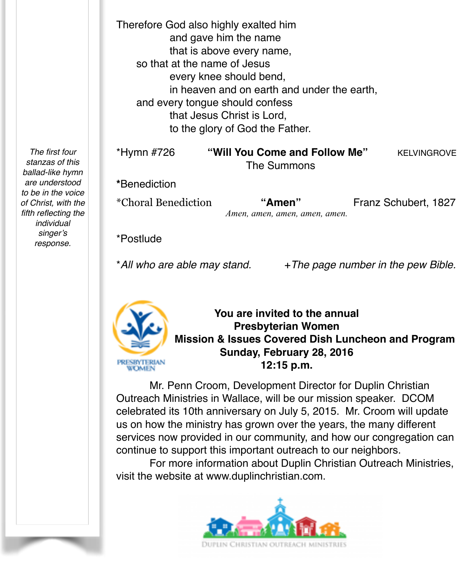Therefore God also highly exalted him and gave him the name that is above every name, so that at the name of Jesus every knee should bend, in heaven and on earth and under the earth. and every tongue should confess that Jesus Christ is Lord, to the glory of God the Father.

\*Hymn #726 **"Will You Come and Follow Me"** KELVINGROVE The Summons

**\***Benediction

\*Choral Benediction **"Amen"** Franz Schubert, 1827 *Amen, amen, amen, amen, amen.*

\*Postlude

\**All who are able may stand.* +*The page number in the pew Bible.*



**You are invited to the annual Presbyterian Women Mission & Issues Covered Dish Luncheon and Program Sunday, February 28, 2016 12:15 p.m.**

Mr. Penn Croom, Development Director for Duplin Christian Outreach Ministries in Wallace, will be our mission speaker. DCOM celebrated its 10th anniversary on July 5, 2015. Mr. Croom will update us on how the ministry has grown over the years, the many different services now provided in our community, and how our congregation can continue to support this important outreach to our neighbors.

For more information about Duplin Christian Outreach Ministries, visit the website at [www.duplinchristian.com.](http://www.duplinchristian.com)



*The first four stanzas of this ballad-like hymn are understood to be in the voice of Christ, with the fifth reflecting the individual singer's response.*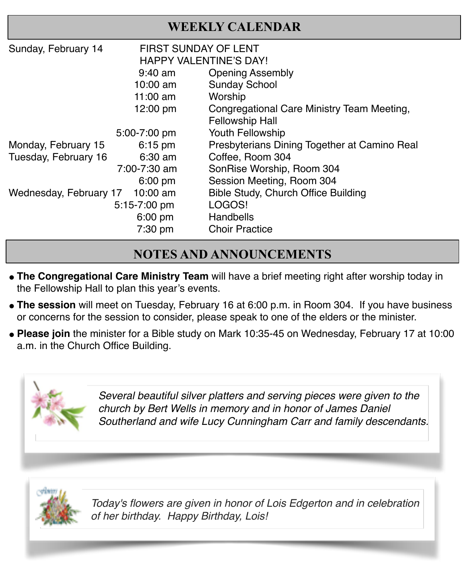| <b>WEEKLY CALENDAR</b>               |                        |                                              |
|--------------------------------------|------------------------|----------------------------------------------|
| Sunday, February 14                  | FIRST SUNDAY OF LENT   |                                              |
|                                      | HAPPY VALENTINE'S DAY! |                                              |
|                                      | $9:40$ am              | <b>Opening Assembly</b>                      |
|                                      | 10:00 am               | <b>Sunday School</b>                         |
|                                      | 11:00 am               | Worship                                      |
|                                      | 12:00 pm               | Congregational Care Ministry Team Meeting,   |
|                                      |                        | <b>Fellowship Hall</b>                       |
|                                      | 5:00-7:00 pm           | Youth Fellowship                             |
| Monday, February 15                  | $6:15$ pm              | Presbyterians Dining Together at Camino Real |
| Tuesday, February 16                 | $6:30$ am              | Coffee, Room 304                             |
|                                      | 7:00-7:30 am           | SonRise Worship, Room 304                    |
|                                      | $6:00$ pm              | Session Meeting, Room 304                    |
| Wednesday, February 17<br>$10:00$ am |                        | Bible Study, Church Office Building          |
|                                      | 5:15-7:00 pm           | LOGOS!                                       |
|                                      | 6:00 pm                | Handbells                                    |
|                                      | 7:30 pm                | <b>Choir Practice</b>                        |

# **NOTES AND ANNOUNCEMENTS**

- **The Congregational Care Ministry Team** will have a brief meeting right after worship today in the Fellowship Hall to plan this year's events.
- **The session** will meet on Tuesday, February 16 at 6:00 p.m. in Room 304. If you have business or concerns for the session to consider, please speak to one of the elders or the minister.
- " **Please join** the minister for a Bible study on Mark 10:35-45 on Wednesday, February 17 at 10:00 a.m. in the Church Office Building.



*Several beautiful silver platters and serving pieces were given to the church by Bert Wells in memory and in honor of James Daniel Southerland and wife Lucy Cunningham Carr and family descendants.*



*Today's flowers are given in honor of Lois Edgerton and in celebration of her birthday. Happy Birthday, Lois!*